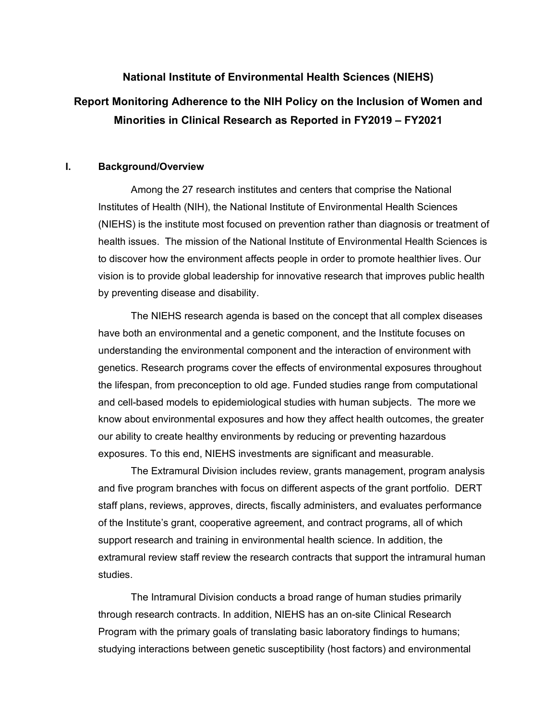# **National Institute of Environmental Health Sciences (NIEHS) Report Monitoring Adherence to the NIH Policy on the Inclusion of Women and**

 **Minorities in Clinical Research as Reported in FY2019 – FY2021** 

# **I. Background/Overview**

 vision is to provide global leadership for innovative research that improves public health Among the 27 research institutes and centers that comprise the National Institutes of Health (NIH), the National Institute of Environmental Health Sciences (NIEHS) is the institute most focused on prevention rather than diagnosis or treatment of health issues. The mission of the National Institute of Environmental Health Sciences is to discover how the environment affects people in order to promote healthier lives. Our by preventing disease and disability.

 and cell-based models to epidemiological studies with human subjects. The more we exposures. To this end, NIEHS investments are significant and measurable. The NIEHS research agenda is based on the concept that all complex diseases have both an environmental and a genetic component, and the Institute focuses on understanding the environmental component and the interaction of environment with genetics. Research programs cover the effects of environmental exposures throughout the lifespan, from preconception to old age. Funded studies range from computational know about environmental exposures and how they affect health outcomes, the greater our ability to create healthy environments by reducing or preventing hazardous

 exposures. To this end, NIEHS investments are significant and measurable. The Extramural Division includes review, grants management, program analysis and five program branches with focus on different aspects of the grant portfolio. DERT staff plans, reviews, approves, directs, fiscally administers, and evaluates performance of the Institute's grant, cooperative agreement, and contract programs, all of which support research and training in environmental health science. In addition, the extramural review staff review the research contracts that support the intramural human studies.

The Intramural Division conducts a broad range of human studies primarily through research contracts. In addition, NIEHS has an on-site Clinical Research Program with the primary goals of translating basic laboratory findings to humans; studying interactions between genetic susceptibility (host factors) and environmental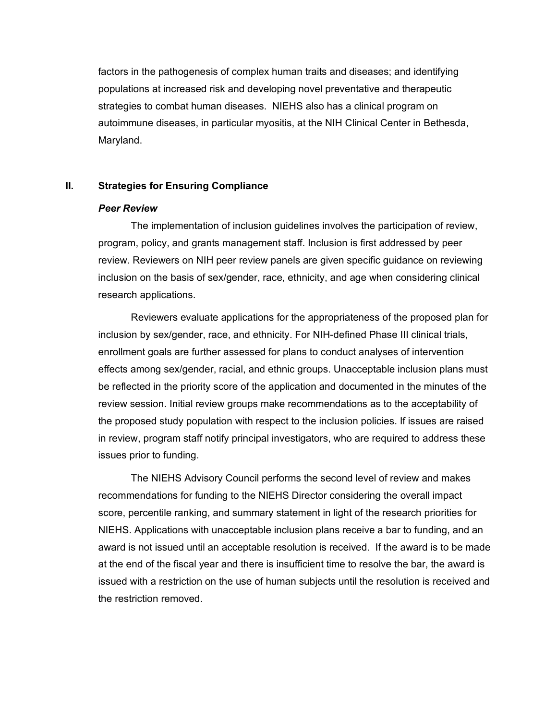factors in the pathogenesis of complex human traits and diseases; and identifying populations at increased risk and developing novel preventative and therapeutic strategies to combat human diseases. NIEHS also has a clinical program on autoimmune diseases, in particular myositis, at the NIH Clinical Center in Bethesda, Maryland.

## **II. Strategies for Ensuring Compliance**

## *Peer Review*

The implementation of inclusion guidelines involves the participation of review, program, policy, and grants management staff. Inclusion is first addressed by peer review. Reviewers on NIH peer review panels are given specific guidance on reviewing inclusion on the basis of sex/gender, race, ethnicity, and age when considering clinical research applications.

 inclusion by sex/gender, race, and ethnicity. For NIH-defined Phase III clinical trials, effects among sex/gender, racial, and ethnic groups. Unacceptable inclusion plans must Reviewers evaluate applications for the appropriateness of the proposed plan for enrollment goals are further assessed for plans to conduct analyses of intervention be reflected in the priority score of the application and documented in the minutes of the review session. Initial review groups make recommendations as to the acceptability of the proposed study population with respect to the inclusion policies. If issues are raised in review, program staff notify principal investigators, who are required to address these issues prior to funding.

The NIEHS Advisory Council performs the second level of review and makes recommendations for funding to the NIEHS Director considering the overall impact score, percentile ranking, and summary statement in light of the research priorities for NIEHS. Applications with unacceptable inclusion plans receive a bar to funding, and an award is not issued until an acceptable resolution is received. If the award is to be made at the end of the fiscal year and there is insufficient time to resolve the bar, the award is issued with a restriction on the use of human subjects until the resolution is received and the restriction removed.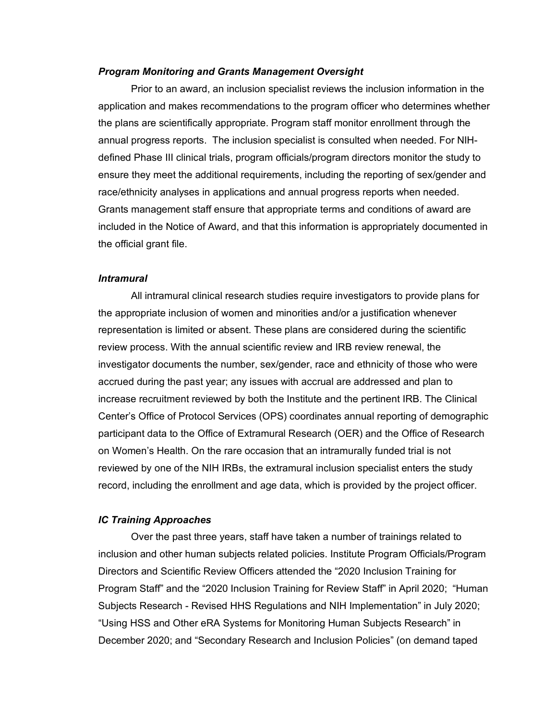#### *Program Monitoring and Grants Management Oversight*

 Prior to an award, an inclusion specialist reviews the inclusion information in the included in the Notice of Award, and that this information is appropriately documented in application and makes recommendations to the program officer who determines whether the plans are scientifically appropriate. Program staff monitor enrollment through the annual progress reports. The inclusion specialist is consulted when needed. For NIHdefined Phase III clinical trials, program officials/program directors monitor the study to ensure they meet the additional requirements, including the reporting of sex/gender and race/ethnicity analyses in applications and annual progress reports when needed. Grants management staff ensure that appropriate terms and conditions of award are the official grant file.

#### *Intramural*

 review process. With the annual scientific review and IRB review renewal, the All intramural clinical research studies require investigators to provide plans for the appropriate inclusion of women and minorities and/or a justification whenever representation is limited or absent. These plans are considered during the scientific investigator documents the number, sex/gender, race and ethnicity of those who were accrued during the past year; any issues with accrual are addressed and plan to increase recruitment reviewed by both the Institute and the pertinent IRB. The Clinical Center's Office of Protocol Services (OPS) coordinates annual reporting of demographic participant data to the Office of Extramural Research (OER) and the Office of Research on Women's Health. On the rare occasion that an intramurally funded trial is not reviewed by one of the NIH IRBs, the extramural inclusion specialist enters the study record, including the enrollment and age data, which is provided by the project officer.

#### *IC Training Approaches*

 Program Staff" and the "2020 Inclusion Training for Review Staff" in April 2020; "Human December 2020; and "Secondary Research and Inclusion Policies" (on demand taped Over the past three years, staff have taken a number of trainings related to inclusion and other human subjects related policies. Institute Program Officials/Program Directors and Scientific Review Officers attended the "2020 Inclusion Training for Subjects Research - Revised HHS Regulations and NIH Implementation" in July 2020; "Using HSS and Other eRA Systems for Monitoring Human Subjects Research" in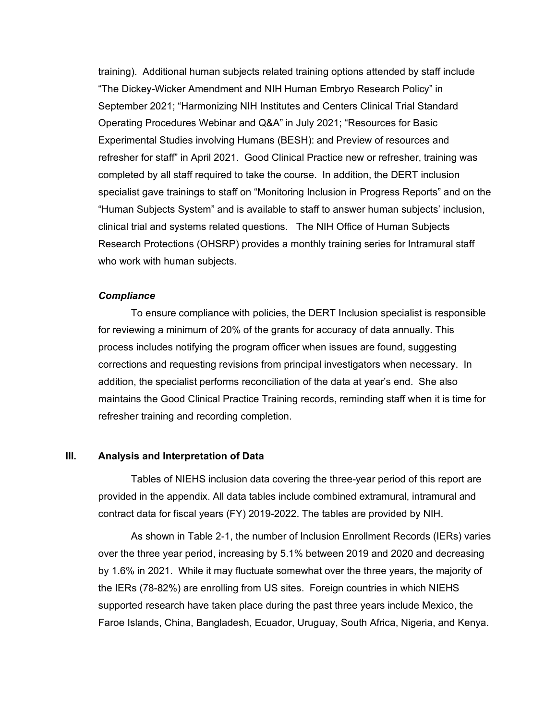"The Dickey-Wicker Amendment and NIH Human Embryo Research Policy" in September 2021; "Harmonizing NIH Institutes and Centers Clinical Trial Standard clinical trial and systems related questions. The NIH Office of Human Subjects training). Additional human subjects related training options attended by staff include Operating Procedures Webinar and Q&A" in July 2021; "Resources for Basic Experimental Studies involving Humans (BESH): and Preview of resources and refresher for staff" in April 2021. Good Clinical Practice new or refresher, training was completed by all staff required to take the course. In addition, the DERT inclusion specialist gave trainings to staff on "Monitoring Inclusion in Progress Reports" and on the "Human Subjects System" and is available to staff to answer human subjects' inclusion, Research Protections (OHSRP) provides a monthly training series for Intramural staff who work with human subjects.

# *Compliance*

To ensure compliance with policies, the DERT Inclusion specialist is responsible for reviewing a minimum of 20% of the grants for accuracy of data annually. This process includes notifying the program officer when issues are found, suggesting corrections and requesting revisions from principal investigators when necessary. In addition, the specialist performs reconciliation of the data at year's end. She also maintains the Good Clinical Practice Training records, reminding staff when it is time for refresher training and recording completion.

## **III. Analysis and Interpretation of Data**

Tables of NIEHS inclusion data covering the three-year period of this report are provided in the appendix. All data tables include combined extramural, intramural and contract data for fiscal years (FY) 2019-2022. The tables are provided by NIH.

 by 1.6% in 2021. While it may fluctuate somewhat over the three years, the majority of the IERs (78-82%) are enrolling from US sites. Foreign countries in which NIEHS supported research have taken place during the past three years include Mexico, the As shown in Table 2-1, the number of Inclusion Enrollment Records (IERs) varies over the three year period, increasing by 5.1% between 2019 and 2020 and decreasing Faroe Islands, China, Bangladesh, Ecuador, Uruguay, South Africa, Nigeria, and Kenya.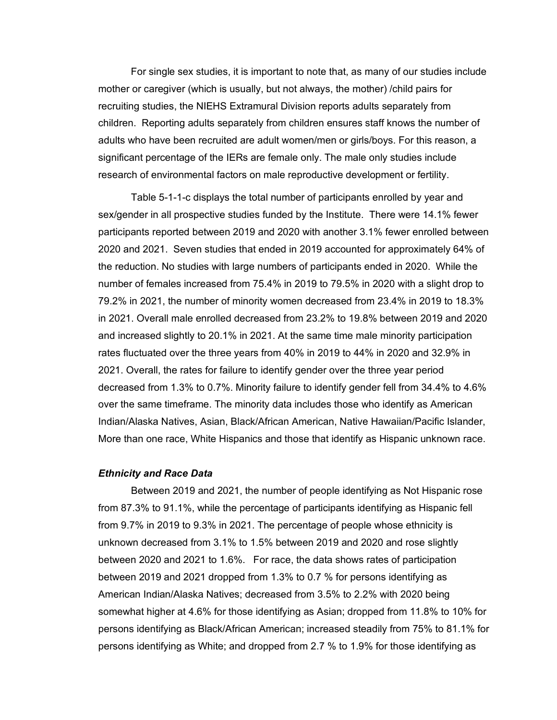For single sex studies, it is important to note that, as many of our studies include mother or caregiver (which is usually, but not always, the mother) /child pairs for recruiting studies, the NIEHS Extramural Division reports adults separately from children. Reporting adults separately from children ensures staff knows the number of adults who have been recruited are adult women/men or girls/boys. For this reason, a significant percentage of the IERs are female only. The male only studies include

 research of environmental factors on male reproductive development or fertility. Table 5-1-1-c displays the total number of participants enrolled by year and sex/gender in all prospective studies funded by the Institute. There were 14.1% fewer participants reported between 2019 and 2020 with another 3.1% fewer enrolled between 2020 and 2021. Seven studies that ended in 2019 accounted for approximately 64% of the reduction. No studies with large numbers of participants ended in 2020. While the number of females increased from 75.4% in 2019 to 79.5% in 2020 with a slight drop to 79.2% in 2021, the number of minority women decreased from 23.4% in 2019 to 18.3% in 2021. Overall male enrolled decreased from 23.2% to 19.8% between 2019 and 2020 and increased slightly to 20.1% in 2021. At the same time male minority participation rates fluctuated over the three years from 40% in 2019 to 44% in 2020 and 32.9% in 2021. Overall, the rates for failure to identify gender over the three year period decreased from 1.3% to 0.7%. Minority failure to identify gender fell from 34.4% to 4.6% over the same timeframe. The minority data includes those who identify as American Indian/Alaska Natives, Asian, Black/African American, Native Hawaiian/Pacific Islander, More than one race, White Hispanics and those that identify as Hispanic unknown race.

#### *Ethnicity and Race Data*

 Between 2019 and 2021, the number of people identifying as Not Hispanic rose between 2020 and 2021 to 1.6%. For race, the data shows rates of participation from 87.3% to 91.1%, while the percentage of participants identifying as Hispanic fell from 9.7% in 2019 to 9.3% in 2021. The percentage of people whose ethnicity is unknown decreased from 3.1% to 1.5% between 2019 and 2020 and rose slightly between 2019 and 2021 dropped from 1.3% to 0.7 % for persons identifying as American Indian/Alaska Natives; decreased from 3.5% to 2.2% with 2020 being somewhat higher at 4.6% for those identifying as Asian; dropped from 11.8% to 10% for persons identifying as Black/African American; increased steadily from 75% to 81.1% for persons identifying as White; and dropped from 2.7 % to 1.9% for those identifying as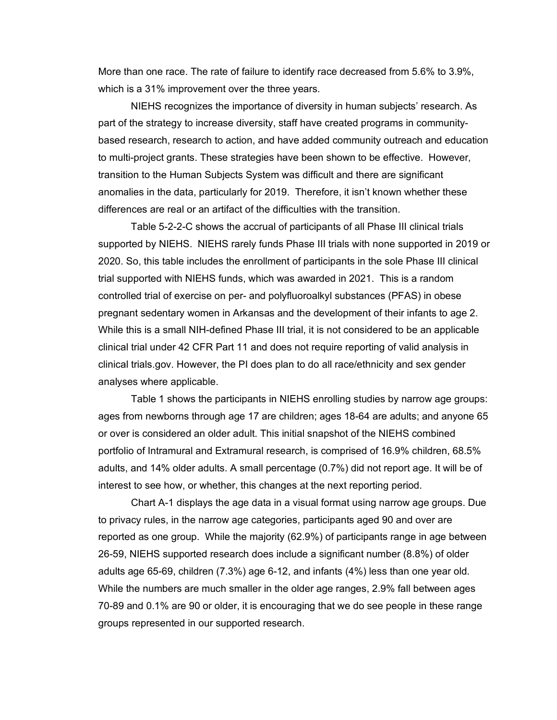More than one race. The rate of failure to identify race decreased from 5.6% to 3.9%, which is a 31% improvement over the three years.

 anomalies in the data, particularly for 2019. Therefore, it isn't known whether these NIEHS recognizes the importance of diversity in human subjects' research. As part of the strategy to increase diversity, staff have created programs in communitybased research, research to action, and have added community outreach and education to multi-project grants. These strategies have been shown to be effective. However, transition to the Human Subjects System was difficult and there are significant differences are real or an artifact of the difficulties with the transition.

 supported by NIEHS. NIEHS rarely funds Phase III trials with none supported in 2019 or pregnant sedentary women in Arkansas and the development of their infants to age 2. Table 5-2-2-C shows the accrual of participants of all Phase III clinical trials 2020. So, this table includes the enrollment of participants in the sole Phase III clinical trial supported with NIEHS funds, which was awarded in 2021. This is a random controlled trial of exercise on per- and polyfluoroalkyl substances (PFAS) in obese While this is a small NIH-defined Phase III trial, it is not considered to be an applicable clinical trial under 42 CFR Part 11 and does not require reporting of valid analysis in clinical [trials.gov](https://trials.gov). However, the PI does plan to do all race/ethnicity and sex gender analyses where applicable.

 interest to see how, or whether, this changes at the next reporting period. Table 1 shows the participants in NIEHS enrolling studies by narrow age groups: ages from newborns through age 17 are children; ages 18-64 are adults; and anyone 65 or over is considered an older adult. This initial snapshot of the NIEHS combined portfolio of Intramural and Extramural research, is comprised of 16.9% children, 68.5% adults, and 14% older adults. A small percentage (0.7%) did not report age. It will be of

Chart A-1 displays the age data in a visual format using narrow age groups. Due to privacy rules, in the narrow age categories, participants aged 90 and over are reported as one group. While the majority (62.9%) of participants range in age between 26-59, NIEHS supported research does include a significant number (8.8%) of older adults age 65-69, children (7.3%) age 6-12, and infants (4%) less than one year old. While the numbers are much smaller in the older age ranges, 2.9% fall between ages 70-89 and 0.1% are 90 or older, it is encouraging that we do see people in these range groups represented in our supported research.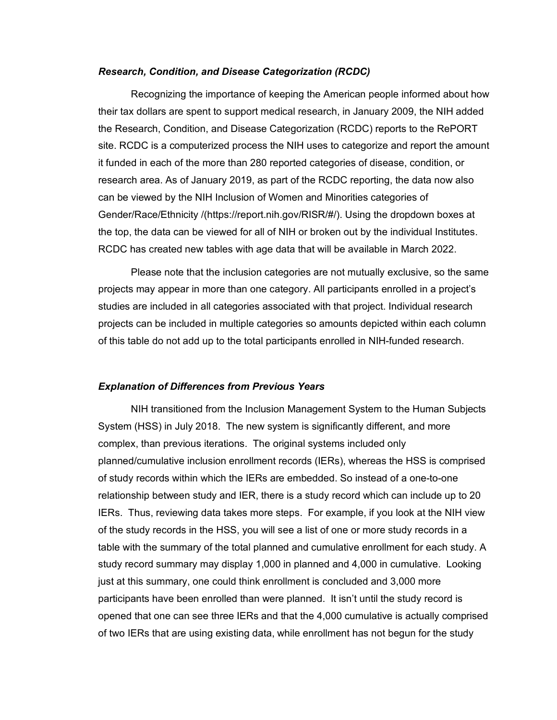#### *Research, Condition, and Disease Categorization (RCDC)*

 Gender/Race/Ethnicity /([https://report.nih.gov/RISR/](https://report.nih.gov/RISR)#/). Using the dropdown boxes at Recognizing the importance of keeping the American people informed about how their tax dollars are spent to support medical research, in January 2009, the NIH added the Research, Condition, and Disease Categorization (RCDC) reports to the RePORT site. RCDC is a computerized process the NIH uses to categorize and report the amount it funded in each of the more than 280 reported categories of disease, condition, or research area. As of January 2019, as part of the RCDC reporting, the data now also can be viewed by the NIH Inclusion of Women and Minorities categories of the top, the data can be viewed for all of NIH or broken out by the individual Institutes. RCDC has created new tables with age data that will be available in March 2022.

Please note that the inclusion categories are not mutually exclusive, so the same projects may appear in more than one category. All participants enrolled in a project's studies are included in all categories associated with that project. Individual research projects can be included in multiple categories so amounts depicted within each column of this table do not add up to the total participants enrolled in NIH-funded research.

#### *Explanation of Differences from Previous Years*

 planned/cumulative inclusion enrollment records (IERs), whereas the HSS is comprised NIH transitioned from the Inclusion Management System to the Human Subjects System (HSS) in July 2018. The new system is significantly different, and more complex, than previous iterations. The original systems included only of study records within which the IERs are embedded. So instead of a one-to-one relationship between study and IER, there is a study record which can include up to 20 IERs. Thus, reviewing data takes more steps. For example, if you look at the NIH view of the study records in the HSS, you will see a list of one or more study records in a table with the summary of the total planned and cumulative enrollment for each study. A study record summary may display 1,000 in planned and 4,000 in cumulative. Looking just at this summary, one could think enrollment is concluded and 3,000 more participants have been enrolled than were planned. It isn't until the study record is opened that one can see three IERs and that the 4,000 cumulative is actually comprised of two IERs that are using existing data, while enrollment has not begun for the study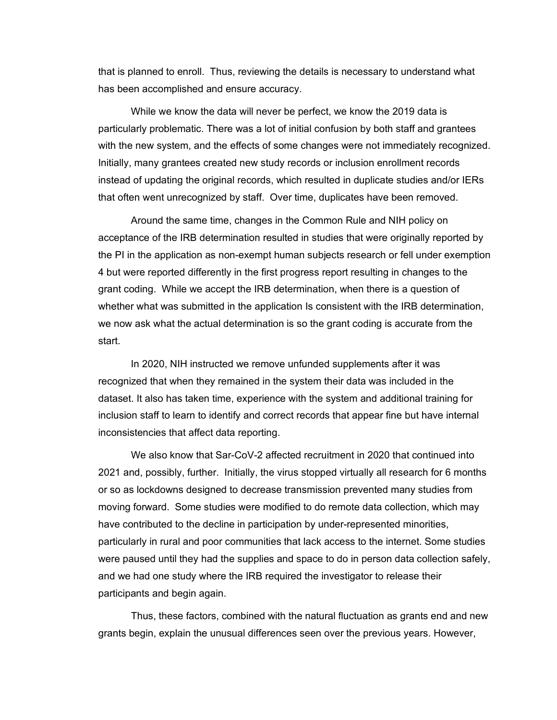that is planned to enroll. Thus, reviewing the details is necessary to understand what has been accomplished and ensure accuracy.

with the new system, and the effects of some changes were not immediately recognized. While we know the data will never be perfect, we know the 2019 data is particularly problematic. There was a lot of initial confusion by both staff and grantees Initially, many grantees created new study records or inclusion enrollment records instead of updating the original records, which resulted in duplicate studies and/or IERs that often went unrecognized by staff. Over time, duplicates have been removed.

 4 but were reported differently in the first progress report resulting in changes to the Around the same time, changes in the Common Rule and NIH policy on acceptance of the IRB determination resulted in studies that were originally reported by the PI in the application as non-exempt human subjects research or fell under exemption grant coding. While we accept the IRB determination, when there is a question of whether what was submitted in the application Is consistent with the IRB determination, we now ask what the actual determination is so the grant coding is accurate from the start.

In 2020, NIH instructed we remove unfunded supplements after it was recognized that when they remained in the system their data was included in the dataset. It also has taken time, experience with the system and additional training for inclusion staff to learn to identify and correct records that appear fine but have internal inconsistencies that affect data reporting.

 moving forward. Some studies were modified to do remote data collection, which may participants and begin again. We also know that Sar-CoV-2 affected recruitment in 2020 that continued into 2021 and, possibly, further. Initially, the virus stopped virtually all research for 6 months or so as lockdowns designed to decrease transmission prevented many studies from have contributed to the decline in participation by under-represented minorities, particularly in rural and poor communities that lack access to the internet. Some studies were paused until they had the supplies and space to do in person data collection safely, and we had one study where the IRB required the investigator to release their

 participants and begin again. Thus, these factors, combined with the natural fluctuation as grants end and new grants begin, explain the unusual differences seen over the previous years. However,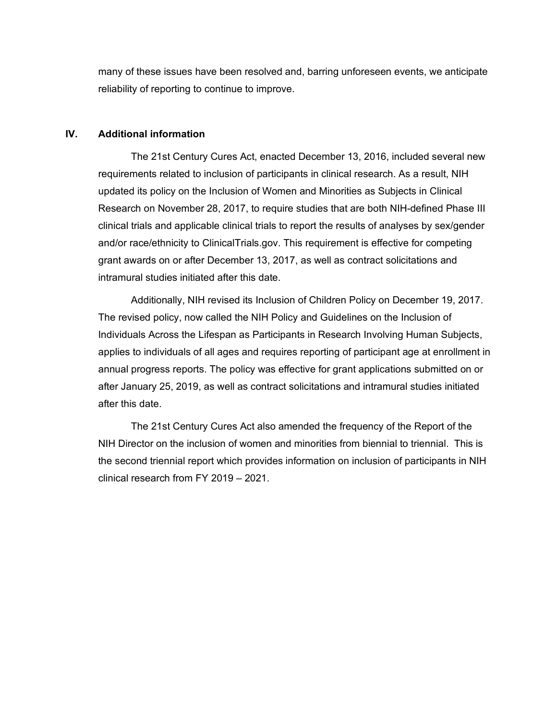many of these issues have been resolved and, barring unforeseen events, we anticipate reliability of reporting to continue to improve.

# **IV. Additional information**

 grant awards on or after December 13, 2017, as well as contract solicitations and The 21st Century Cures Act, enacted December 13, 2016, included several new requirements related to inclusion of participants in clinical research. As a result, NIH updated its policy on the Inclusion of Women and Minorities as Subjects in Clinical Research on November 28, 2017, to require studies that are both NIH-defined Phase III clinical trials and applicable clinical trials to report the results of analyses by sex/gender and/or race/ethnicity to [ClinicalTrials.gov.](https://ClinicalTrials.gov) This requirement is effective for competing intramural studies initiated after this date.

 Additionally, NIH revised its Inclusion of Children Policy on December 19, 2017. applies to individuals of all ages and requires reporting of participant age at enrollment in after this date The revised policy, now called the NIH Policy and Guidelines on the Inclusion of Individuals Across the Lifespan as Participants in Research Involving Human Subjects, annual progress reports. The policy was effective for grant applications submitted on or after January 25, 2019, as well as contract solicitations and intramural studies initiated

 NIH Director on the inclusion of women and minorities from biennial to triennial. This is The 21st Century Cures Act also amended the frequency of the Report of the the second triennial report which provides information on inclusion of participants in NIH clinical research from FY 2019 – 2021.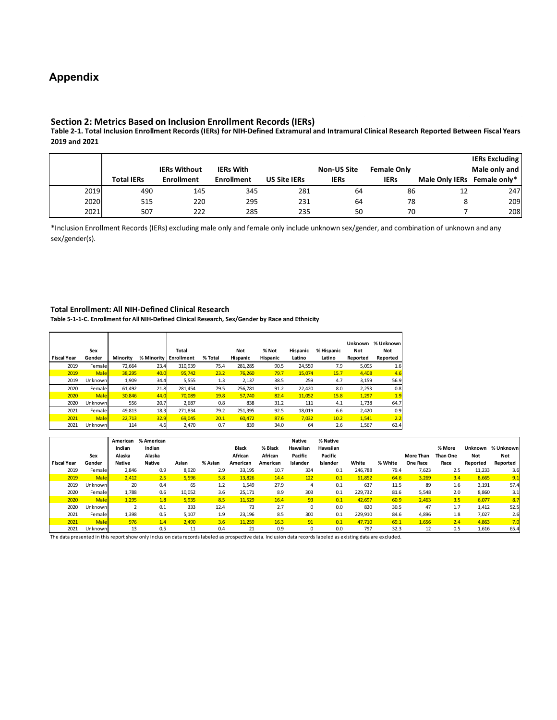# **Appendix**

#### **Section 2: Metrics Based on Inclusion Enrollment Records (IERs)**

**Table 2-1. Total Inclusion Enrollment Records (IERs) for NIH-Defined Extramural and Intramural Clinical Research Reported Between Fiscal Years 2019 and 2021** 

|      |                   |                     |                   |                     |                    |                    |                             | <b>IERs Excluding</b> |
|------|-------------------|---------------------|-------------------|---------------------|--------------------|--------------------|-----------------------------|-----------------------|
|      |                   | <b>IERs Without</b> | <b>IERs With</b>  |                     | <b>Non-US Site</b> | <b>Female Only</b> |                             | Male only and         |
|      | <b>Total IERs</b> | <b>Enrollment</b>   | <b>Enrollment</b> | <b>US Site IERs</b> | <b>IERs</b>        | <b>IERs</b>        | Male Only IERs Female only* |                       |
| 2019 | 490               | 145                 | 345               | 281                 | 64                 | 86                 | 12                          | 247                   |
| 2020 | 515               | 220                 | 295               | 231                 | 64                 | 78                 | 8                           | 209                   |
| 2021 | 507               | 222                 | 285               | 235                 | 50                 | 70                 |                             | 208                   |

\*Inclusion Enrollment Records (IERs) excluding male only and female only include unknown sex/gender, and combination of unknown and any sex/gender(s).

#### **Total Enrollment: All NIH-Defined Clinical Research**

**Table 5-1-1-C. Enrollment for All NIH-Defined Clinical Research, Sex/Gender by Race and Ethnicity** 

| <b>Fiscal Year</b> | Sex<br>Gender | Minority | % Minority | <b>Total</b><br><b>Enrollment</b> | % Total | Not<br>Hispanic | % Not<br>Hispanic | Hispanic<br>Latino | % Hispanic<br>Latino | <b>Unknown</b><br>Not<br>Reported | % Unknown<br>Not<br>Reported |
|--------------------|---------------|----------|------------|-----------------------------------|---------|-----------------|-------------------|--------------------|----------------------|-----------------------------------|------------------------------|
| 2019               | Female        | 72,664   | 23.4       | 310,939                           | 75.4    | 281,285         | 90.5              | 24,559             | 7.9                  | 5,095                             | 1.6                          |
| 2019               | <b>Male</b>   | 38.295   | 40.0       | 95.742                            | 23.2    | 76.260          | 79.7              | 15,074             | 15.7                 | 4,408                             | 4.6                          |
| 2019               | Unknown       | 1,909    | 34.4       | 5,555                             | 1.3     | 2,137           | 38.5              | 259                | 4.7                  | 3,159                             | 56.9                         |
| 2020               | Female        | 61.492   | 21.8       | 281.454                           | 79.5    | 256.781         | 91.2              | 22,420             | 8.0                  | 2,253                             | 0.8                          |
| 2020               | <b>Male</b>   | 30.846   | 44.0       | 70.089                            | 19.8    | 57.740          | 82.4              | 11,052             | 15.8                 | 1,297                             | 1.9                          |
| 2020               | Unknown       | 556      | 20.7       | 2,687                             | 0.8     | 838             | 31.2              | 111                | 4.1                  | 1,738                             | 64.7                         |
| 2021               | Female        | 49.813   | 18.3       | 271.834                           | 79.2    | 251.395         | 92.5              | 18.019             | 6.6                  | 2.420                             | 0.9                          |
| 2021               | <b>Male</b>   | 22.713   | 32.9       | 69.045                            | 20.1    | 60.472          | 87.6              | 7,032              | 10.2                 | 1,541                             | 2.2                          |
| 2021               | Unknown       | 114      | 4.6        | 2,470                             | 0.7     | 839             | 34.0              | 64                 | 2.6                  | 1,567                             | 63.4                         |

|                    | Sex         | American<br>Indian<br>Alaska | % American<br>Indian<br>Alaska |        |         | <b>Black</b><br>African | % Black<br>African | <b>Native</b><br>Hawaiian<br>Pacific | % Native<br>Hawaiian<br>Pacific |         |         | More Than       | % More<br>Than One | Unknown<br><b>Not</b> | % Unknown<br><b>Not</b> |
|--------------------|-------------|------------------------------|--------------------------------|--------|---------|-------------------------|--------------------|--------------------------------------|---------------------------------|---------|---------|-----------------|--------------------|-----------------------|-------------------------|
| <b>Fiscal Year</b> | Gender      | Native                       | Native                         | Asian  | % Asian | American                | American           | Islander                             | Islander                        | White   | % White | <b>One Race</b> | Race               | Reported              | Reported                |
| 2019               | Female      | 2,846                        | 0.9                            | 8,920  | 2.9     | 33,195                  | 10.7               | 334                                  | 0.1                             | 246.788 | 79.4    | 7,623           | 2.5                | 11,233                | 3.6                     |
| 2019               | <b>Male</b> | 2,412                        | 2.5                            | 5,596  | 5.8     | 13,826                  | 14.4               | 122                                  | 0.1                             | 61,852  | 64.6    | 3,269           | 3.4                | 8,665                 | 9.1                     |
| 2019               | Unknown     | 20                           | 0.4                            | 65     | 1.2     | 1,549                   | 27.9               | 4                                    | 0.1                             | 637     | 11.5    | 89              | 1.6                | 3,191                 | 57.4                    |
| 2020               | Female      | 1,788                        | 0.6                            | 10,052 | 3.6     | 25,171                  | 8.9                | 303                                  | 0.1                             | 229.732 | 81.6    | 5,548           | 2.0                | 8,860                 | 3.1                     |
| 2020               | <b>Male</b> | 1,295                        | 1.8                            | 5,935  | 8.5     | 11,529                  | 16.4               | 93                                   | 0.1                             | 42,697  | 60.9    | 2,463           | 3.5                | 6,077                 | 8.7                     |
| 2020               | Unknown     |                              | 0.1                            | 333    | 12.4    | 73                      | 2.7                |                                      | 0.0                             | 820     | 30.5    | 47              | 1.7                | 1,412                 | 52.5                    |
| 2021               | Female      | 1,398                        | 0.5                            | 5,107  | 1.9     | 23,196                  | 8.5                | 300                                  | 0.1                             | 229,910 | 84.6    | 4,896           | 1.8                | 7,027                 | 2.6                     |
| 2021               | <b>Male</b> | 976                          | 1.4                            | 2,490  | 3.6     | 11.259                  | 16.3               | 91                                   | 0.1                             | 47.710  | 69.1    | 1,656           | 2.4                | 4,863                 | 7.0                     |
| 2021               | Unknown     | 13                           | 0.5                            | 11     | 0.4     | 21                      | 0.9                |                                      | 0.0                             | 797     | 32.3    | 12              | 0.5                | 1,616                 | 65.4                    |

The data presented in this report show only inclusion data records labeled as prospective data. Inclusion data records labeled as existing data are excluded.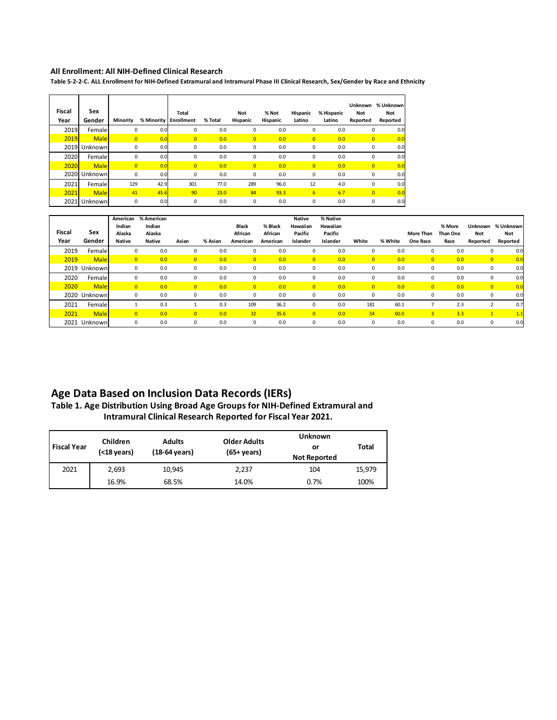#### **All Enrollment: All NIH-Defined Clinical Research**

**Table 5-2-2-C. ALL Enrollment for NIH-Defined Extramural and Intramural Phase III Clinical Research, Sex/Gender by Race and Ethnicity** 

| <b>Fiscal</b><br>Year | Sex<br>Gender | Minority       | % Minority | <b>Total</b><br><b>Enrollment</b> | % Total | <b>Not</b><br>Hispanic | % Not<br>Hispanic | Hispanic<br>Latino | % Hispanic<br>Latino | <b>Unknown</b><br><b>Not</b><br>Reported | % Unknown<br>Not<br>Reported |
|-----------------------|---------------|----------------|------------|-----------------------------------|---------|------------------------|-------------------|--------------------|----------------------|------------------------------------------|------------------------------|
| 2019                  | Femalel       | 0              | 0.0        | 0                                 | 0.0     | 0                      | 0.0               | 0                  | 0.0                  | 0                                        | 0.0                          |
| 2019                  | <b>Male</b>   | $\overline{0}$ | 0.0        | $\overline{0}$                    | 0.0     | $\overline{0}$         | 0.0               | $\overline{0}$     | 0.0                  | $\overline{0}$                           | 0 <sub>c</sub>               |
| 2019                  | Unknown       | 0              | 0.0        | 0                                 | 0.0     | 0                      | 0.0               | 0                  | 0.0                  | 0                                        | 0.0                          |
| 2020                  | Femalel       | 0              | 0.0        | 0                                 | 0.0     | 0                      | 0.0               | 0                  | 0.0                  | 0                                        | 0.0                          |
| 2020                  | <b>Male</b>   | $\overline{0}$ | 0.0        | $\overline{0}$                    | 0.0     | $\overline{0}$         | 0.0               | $\overline{0}$     | 0.0                  | $\overline{0}$                           | 0 <sub>c</sub>               |
| 2020                  | Unknown       | 0              | 0.0        | 0                                 | 0.0     | 0                      | 0.0               | 0                  | 0.0                  | 0                                        | 0.0                          |
| 2021                  | Femalel       | 129            | 42.9       | 301                               | 77.0    | 289                    | 96.0              | 12                 | 4.0                  | 0                                        | 0.0                          |
| 2021                  | <b>Male</b>   | 41             | 45.6       | 90                                | 23.0    | 84                     | 93.3              | $6\overline{6}$    | 6.7                  | $\overline{0}$                           | 0.0                          |
| 2021                  | Unknown       | 0              | 0.0        | 0                                 | 0.0     | 0                      | 0.0               | 0                  | 0.0                  | 0                                        | 0.0                          |

|               |              | American       | % American |                |         |                |          | <b>Native</b>  | % Native |                |         |                |                 |                |            |
|---------------|--------------|----------------|------------|----------------|---------|----------------|----------|----------------|----------|----------------|---------|----------------|-----------------|----------------|------------|
|               |              | Indian         | Indian     |                |         | Black          | % Black  | Hawaiian       | Hawaiian |                |         |                | % More          | Unknown        | % Unknown  |
| <b>Fiscal</b> | Sex          | Alaska         | Alaska     |                |         | African        | African  | Pacific        | Pacific  |                |         | More Than      | <b>Than One</b> | <b>Not</b>     | <b>Not</b> |
| Year          | Gender       | Native         | Native     | Asian          | % Asian | American       | American | Islander       | Islander | White          | % White | One Race       | Race            | Reported       | Reported   |
| 2019          | Female       | 0              | 0.0        | 0              | 0.0     | 0              | 0.0      | 0              | 0.0      | 0              | 0.0     | 0              | 0.0             | 0              | 0.0        |
| 2019          | <b>Male</b>  | $\overline{0}$ | 0.0        | $\overline{0}$ | 0.0     | $\overline{0}$ | 0.0      | $\overline{0}$ | 0.0      | $\overline{0}$ | 0.0     | $\overline{0}$ | 0.0             | $\overline{0}$ | 0.0        |
|               | 2019 Unknown | 0              | 0.0        | 0              | 0.0     | 0              | 0.0      | $\Omega$       | 0.0      | 0              | 0.0     | 0              | 0.0             | 0              | 0.0        |
| 2020          | Female       | $\Omega$       | 0.0        | 0              | 0.0     | 0              | 0.0      | $\Omega$       | 0.0      | 0              | 0.0     | 0              | 0.0             | 0              | 0.0        |
| 2020          | <b>Male</b>  | $\Omega$       | 0.0        | $\Omega$       | 0.0     | $\overline{0}$ | 0.0      | $\overline{0}$ | 0.0      | $\overline{0}$ | 0.0     | $\overline{0}$ | 0.0             | $\overline{0}$ | 0.0        |
|               | 2020 Unknown |                | 0.0        | 0              | 0.0     | 0              | 0.0      | $\Omega$       | 0.0      | 0              | 0.0     | 0              | 0.0             | 0              | 0.0        |
| 2021          | Female       |                | 0.3        |                | 0.3     | 109            | 36.2     | $\Omega$       | 0.0      | 181            | 60.1    |                | 2.3             |                | 0.7        |
| 2021          | <b>Male</b>  | $\overline{0}$ | 0.0        | $\Omega$       | 0.0     | 32             | 35.6     | $\overline{0}$ | 0.0      | 54             | 60.0    | $\overline{3}$ | 3.3             |                | 1.1        |
|               | 2021 Unknown | $\Omega$       | 0.0        | 0              | 0.0     | 0              | 0.0      | $\Omega$       | 0.0      |                | 0.0     | 0              | 0.0             | 0              | 0.0        |

# **Age Data Based on Inclusion Data Records (IERs)**

**Table 1. Age Distribution Using Broad Age Groups for NIH-Defined Extramural and Intramural Clinical Research Reported for Fiscal Year 2021.** 

| <b>Fiscal Year</b> | Children<br><b>Adults</b><br>(18-64 years)<br>(<18 years) |        | <b>Older Adults</b><br>$(65 + \mathrm{years})$ | <b>Unknown</b><br>or<br><b>Not Reported</b> | Total  |
|--------------------|-----------------------------------------------------------|--------|------------------------------------------------|---------------------------------------------|--------|
| 2021               | 2,693                                                     | 10.945 | 2,237                                          | 104                                         | 15,979 |
|                    | 16.9%                                                     | 68.5%  | 14.0%                                          | 0.7%                                        | 100%   |